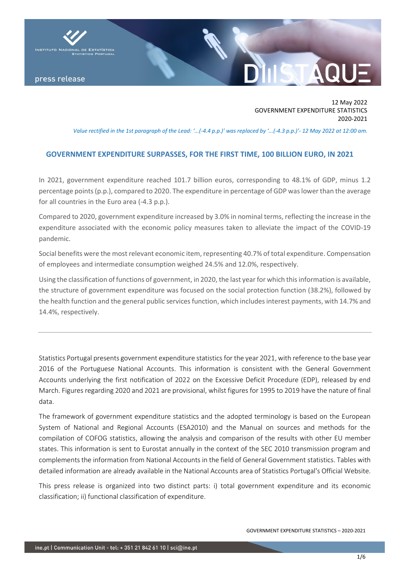

press release

## 12 May 2022 GOVERNMENT EXPENDITURE STATISTICS 2020-2021

*Value rectified in the 1st paragraph of the Lead: '...(-4.4 p.p.)' was replaced by '...(-4.3 p.p.)'- 12 May 2022 at 12:00 am.*

# **GOVERNMENT EXPENDITURE SURPASSES, FOR THE FIRST TIME, 100 BILLION EURO, IN 2021**

In 2021, government expenditure reached 101.7 billion euros, corresponding to 48.1% of GDP, minus 1.2 percentage points (p.p.), compared to 2020. The expenditure in percentage of GDP was lower than the average for all countries in the Euro area (-4.3 p.p.).

Compared to 2020, government expenditure increased by 3.0% in nominal terms, reflecting the increase in the expenditure associated with the economic policy measures taken to alleviate the impact of the COVID-19 pandemic.

Social benefits were the most relevant economic item, representing 40.7% of total expenditure. Compensation of employees and intermediate consumption weighed 24.5% and 12.0%, respectively.

Using the classification of functions of government, in 2020, the last year for which this information is available, the structure of government expenditure was focused on the social protection function (38.2%), followed by the health function and the general public services function, which includes interest payments, with 14.7% and 14.4%, respectively.

Statistics Portugal presents government expenditure statistics for the year 2021, with reference to the base year 2016 of the Portuguese National Accounts. This information is consistent with the General Government Accounts underlying the first notification of 2022 on the Excessive Deficit Procedure (EDP), released by end March. Figures regarding 2020 and 2021 are provisional, whilst figures for 1995 to 2019 have the nature of final data.

The framework of government expenditure statistics and the adopted terminology is based on the European System of National and Regional Accounts (ESA2010) and the Manual on sources and methods for the compilation of COFOG statistics, allowing the analysis and comparison of the results with other EU member states. This information is sent to Eurostat annually in the context of the SEC 2010 transmission program and complements the information from National Accounts in the field of General Government statistics. Tables with detailed information are already available in the National Accounts area of Statistics Portugal's Official Website.

This press release is organized into two distinct parts: i) total government expenditure and its economic classification; ii) functional classification of expenditure.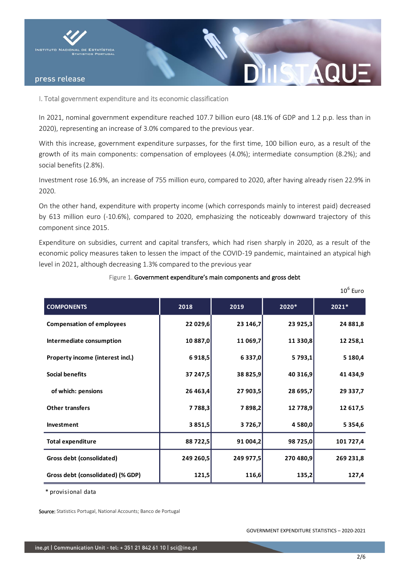

### press release

I. Total government expenditure and its economic classification

In 2021, nominal government expenditure reached 107.7 billion euro (48.1% of GDP and 1.2 p.p. less than in 2020), representing an increase of 3.0% compared to the previous year.

With this increase, government expenditure surpasses, for the first time, 100 billion euro, as a result of the growth of its main components: compensation of employees (4.0%); intermediate consumption (8.2%); and social benefits (2.8%).

Investment rose 16.9%, an increase of 755 million euro, compared to 2020, after having already risen 22.9% in 2020.

On the other hand, expenditure with property income (which corresponds mainly to interest paid) decreased by 613 million euro (-10.6%), compared to 2020, emphasizing the noticeably downward trajectory of this component since 2015.

Expenditure on subsidies, current and capital transfers, which had risen sharply in 2020, as a result of the economic policy measures taken to lessen the impact of the COVID-19 pandemic, maintained an atypical high level in 2021, although decreasing 1.3% compared to the previous year

|                                   |            |           |           | $10^6$ Euro |
|-----------------------------------|------------|-----------|-----------|-------------|
| <b>COMPONENTS</b>                 | 2018       | 2019      | 2020*     | 2021*       |
| <b>Compensation of employees</b>  | 22 029,6   | 23 146,7  | 23 925,3  | 24 881,8    |
| Intermediate consumption          | 10 887,0   | 11 069,7  | 11 330,8  | 12 258,1    |
| Property income (interest incl.)  | 6918,5     | 6337,0    | 5793,1    | 5 180,4     |
| <b>Social benefits</b>            | 37 247,5   | 38 825,9  | 40 316,9  | 41 434,9    |
| of which: pensions                | 26 463,4   | 27 903,5  | 28 695,7  | 29 337,7    |
| <b>Other transfers</b>            | 7 7 8 8, 3 | 7898,2    | 12 778,9  | 12 617,5    |
| Investment                        | 3 8 5 1, 5 | 3726,7    | 4 580,0   | 5 3 5 4, 6  |
| <b>Total expenditure</b>          | 88 722,5   | 91 004,2  | 98 725,0  | 101 727,4   |
| Gross debt (consolidated)         | 249 260,5  | 249 977,5 | 270 480,9 | 269 231,8   |
| Gross debt (consolidated) (% GDP) | 121,5      | 116,6     | 135,2     | 127,4       |

Figure 1. Government expenditure's main components and gross debt

\* provisional data

Source: Statistics Portugal, National Accounts; Banco de Portugal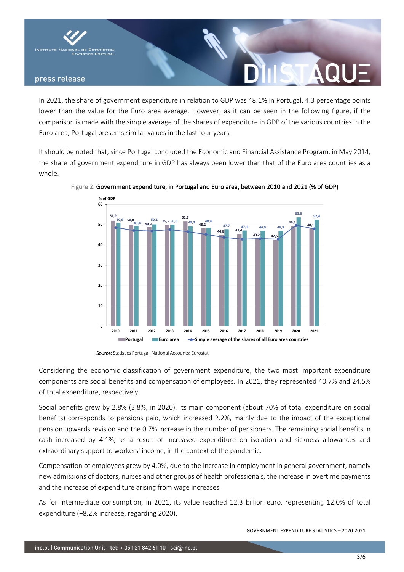

### press release

In 2021, the share of government expenditure in relation to GDP was 48.1% in Portugal, 4.3 percentage points lower than the value for the Euro area average. However, as it can be seen in the following figure, if the comparison is made with the simple average of the shares of expenditure in GDP of the various countries in the Euro area, Portugal presents similar values in the last four years.

It should be noted that, since Portugal concluded the Economic and Financial Assistance Program, in May 2014, the share of government expenditure in GDP has always been lower than that of the Euro area countries as a whole.



Figure 2. Government expenditure, in Portugal and Euro area, between 2010 and 2021 (% of GDP)

Considering the economic classification of government expenditure, the two most important expenditure components are social benefits and compensation of employees. In 2021, they represented 40.7% and 24.5% of total expenditure, respectively.

Social benefits grew by 2.8% (3.8%, in 2020). Its main component (about 70% of total expenditure on social benefits) corresponds to pensions paid, which increased 2.2%, mainly due to the impact of the exceptional pension upwards revision and the 0.7% increase in the number of pensioners. The remaining social benefits in cash increased by 4.1%, as a result of increased expenditure on isolation and sickness allowances and extraordinary support to workers' income, in the context of the pandemic.

Compensation of employees grew by 4.0%, due to the increase in employment in general government, namely new admissions of doctors, nurses and other groups of health professionals, the increase in overtime payments and the increase of expenditure arising from wage increases.

As for intermediate consumption, in 2021, its value reached 12.3 billion euro, representing 12.0% of total expenditure (+8,2% increase, regarding 2020).

GOVERNMENT EXPENDITURE STATISTICS – 2020-2021

Source: Statistics Portugal, National Accounts; Eurostat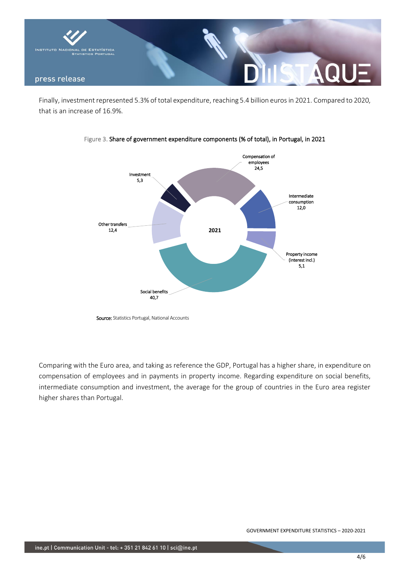

Finally, investment represented 5.3% of total expenditure, reaching 5.4 billion euros in 2021. Compared to 2020, that is an increase of 16.9%.



Figure 3. Share of government expenditure components (% of total), in Portugal, in 2021

Source: Statistics Portugal, National Accounts

Comparing with the Euro area, and taking as reference the GDP, Portugal has a higher share, in expenditure on compensation of employees and in payments in property income. Regarding expenditure on social benefits, intermediate consumption and investment, the average for the group of countries in the Euro area register higher shares than Portugal.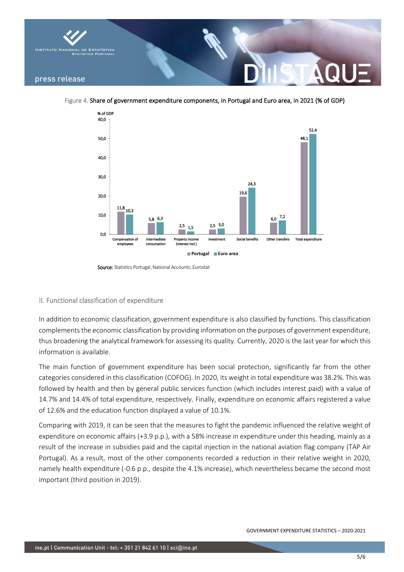

Figure 4. Share of government expenditure components, in Portugal and Euro area, in 2021 (% of GDP)



Source: Statistics Portugal, National Accounts: Eurostat

### II. Functional classification of expenditure

In addition to economic classification, government expenditure is also classified by functions. This classification complements the economic classification by providing information on the purposes of government expenditure, thus broadening the analytical framework for assessing its quality. Currently, 2020 is the last year for which this information is available.

The main function of government expenditure has been social protection, significantly far from the other categories considered in this classification (COFOG). In 2020, its weight in total expenditure was 38.2%. This was followed by health and then by general public services function (which includes interest paid) with a value of 14.7% and 14.4% of total expenditure, respectively. Finally, expenditure on economic affairs registered a value of 12.6% and the education function displayed a value of 10.1%.

Comparing with 2019, it can be seen that the measures to fight the pandemic influenced the relative weight of expenditure on economic affairs (+3.9 p.p.), with a 58% increase in expenditure under this heading, mainly as a result of the increase in subsidies paid and the capital injection in the national aviation flag company (TAP Air Portugal). As a result, most of the other components recorded a reduction in their relative weight in 2020, namely health expenditure (-0.6 p.p., despite the 4.1% increase), which nevertheless became the second most important (third position in 2019).